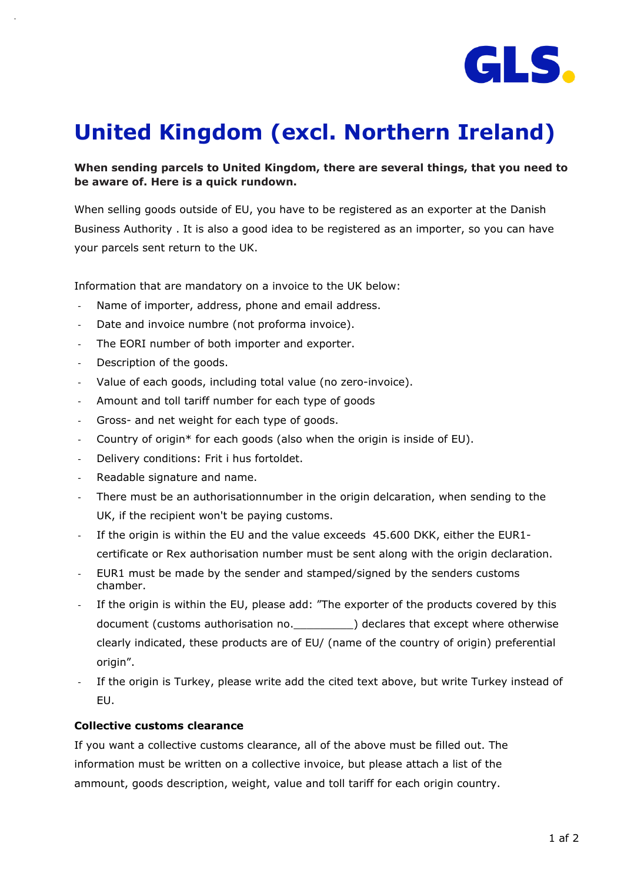

# **United Kingdom (excl. Northern Ireland)**

## **When sending parcels to United Kingdom, there are several things, that you need to be aware of. Here is a quick rundown.**

When selling goods outside of EU, you have to be registered as an exporter at the Danish Business Authority . It is also a good idea to be registered as an importer, so you can have your parcels sent return to the UK.

Information that are mandatory on a invoice to the UK below:

- Name of importer, address, phone and email address.
- Date and invoice numbre (not proforma invoice).
- The EORI number of both importer and exporter.
- Description of the goods.
- Value of each goods, including total value (no zero-invoice).
- Amount and toll tariff number for each type of goods
- Gross- and net weight for each type of goods.
- Country of origin\* for each goods (also when the origin is inside of EU).
- Delivery conditions: Frit i hus fortoldet.
- Readable signature and name.
- There must be an authorisationnumber in the origin delcaration, when sending to the UK, if the recipient won't be paying customs.
- If the origin is within the EU and the value exceeds 45.600 DKK, either the EUR1 certificate or Rex authorisation number must be sent along with the origin declaration.
- EUR1 must be made by the sender and stamped/signed by the senders customs chamber.
- If the origin is within the EU, please add: "The exporter of the products covered by this document (customs authorisation no.  $\qquad \qquad$ ) declares that except where otherwise clearly indicated, these products are of EU/ (name of the country of origin) preferential origin".
- If the origin is Turkey, please write add the cited text above, but write Turkey instead of EU.

### **Collective customs clearance**

If you want a collective customs clearance, all of the above must be filled out. The information must be written on a collective invoice, but please attach a list of the ammount, goods description, weight, value and toll tariff for each origin country.